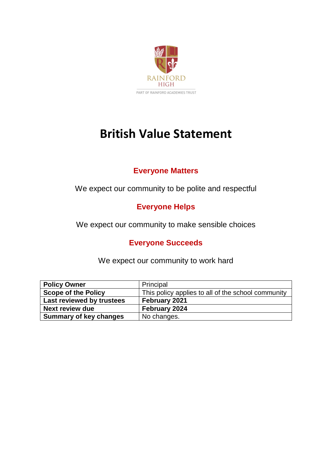

# **British Value Statement**

### **Everyone Matters**

We expect our community to be polite and respectful

### **Everyone Helps**

We expect our community to make sensible choices

## **Everyone Succeeds**

### We expect our community to work hard

| <b>Policy Owner</b>           | Principal                                          |
|-------------------------------|----------------------------------------------------|
| <b>Scope of the Policy</b>    | This policy applies to all of the school community |
| Last reviewed by trustees     | February 2021                                      |
| <b>Next review due</b>        | February 2024                                      |
| <b>Summary of key changes</b> | No changes.                                        |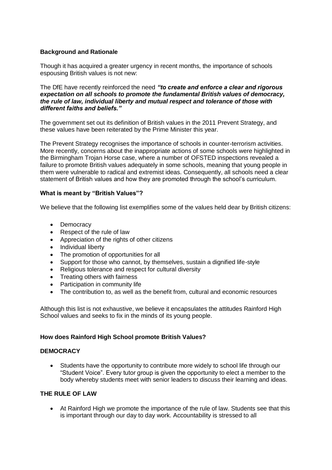#### **Background and Rationale**

Though it has acquired a greater urgency in recent months, the importance of schools espousing British values is not new:

The DfE have recently reinforced the need *"to create and enforce a clear and rigorous expectation on all schools to promote the fundamental British values of democracy, the rule of law, individual liberty and mutual respect and tolerance of those with different faiths and beliefs."* 

The government set out its definition of British values in the 2011 Prevent Strategy, and these values have been reiterated by the Prime Minister this year.

The Prevent Strategy recognises the importance of schools in counter-terrorism activities. More recently, concerns about the inappropriate actions of some schools were highlighted in the Birmingham Trojan Horse case, where a number of OFSTED inspections revealed a failure to promote British values adequately in some schools, meaning that young people in them were vulnerable to radical and extremist ideas. Consequently, all schools need a clear statement of British values and how they are promoted through the school's curriculum.

#### **What is meant by "British Values"?**

We believe that the following list exemplifies some of the values held dear by British citizens:

- Democracy
- Respect of the rule of law
- Appreciation of the rights of other citizens
- Individual liberty
- The promotion of opportunities for all
- Support for those who cannot, by themselves, sustain a dignified life-style
- Religious tolerance and respect for cultural diversity
- Treating others with fairness
- Participation in community life
- The contribution to, as well as the benefit from, cultural and economic resources

Although this list is not exhaustive, we believe it encapsulates the attitudes Rainford High School values and seeks to fix in the minds of its young people.

#### **How does Rainford High School promote British Values?**

#### **DEMOCRACY**

• Students have the opportunity to contribute more widely to school life through our "Student Voice". Every tutor group is given the opportunity to elect a member to the body whereby students meet with senior leaders to discuss their learning and ideas.

#### **THE RULE OF LAW**

• At Rainford High we promote the importance of the rule of law. Students see that this is important through our day to day work. Accountability is stressed to all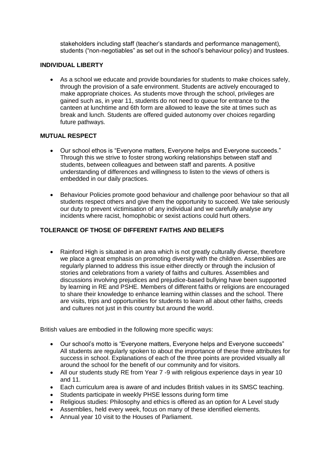stakeholders including staff (teacher's standards and performance management), students ("non-negotiables" as set out in the school's behaviour policy) and trustees.

#### **INDIVIDUAL LIBERTY**

• As a school we educate and provide boundaries for students to make choices safely, through the provision of a safe environment. Students are actively encouraged to make appropriate choices. As students move through the school, privileges are gained such as, in year 11, students do not need to queue for entrance to the canteen at lunchtime and 6th form are allowed to leave the site at times such as break and lunch. Students are offered guided autonomy over choices regarding future pathways.

#### **MUTUAL RESPECT**

- Our school ethos is "Everyone matters, Everyone helps and Everyone succeeds." Through this we strive to foster strong working relationships between staff and students, between colleagues and between staff and parents. A positive understanding of differences and willingness to listen to the views of others is embedded in our daily practices.
- Behaviour Policies promote good behaviour and challenge poor behaviour so that all students respect others and give them the opportunity to succeed. We take seriously our duty to prevent victimisation of any individual and we carefully analyse any incidents where racist, homophobic or sexist actions could hurt others.

#### **TOLERANCE OF THOSE OF DIFFERENT FAITHS AND BELIEFS**

• Rainford High is situated in an area which is not greatly culturally diverse, therefore we place a great emphasis on promoting diversity with the children. Assemblies are regularly planned to address this issue either directly or through the inclusion of stories and celebrations from a variety of faiths and cultures. Assemblies and discussions involving prejudices and prejudice-based bullying have been supported by learning in RE and PSHE. Members of different faiths or religions are encouraged to share their knowledge to enhance learning within classes and the school. There are visits, trips and opportunities for students to learn all about other faiths, creeds and cultures not just in this country but around the world.

British values are embodied in the following more specific ways:

- Our school's motto is "Everyone matters, Everyone helps and Everyone succeeds" All students are regularly spoken to about the importance of these three attributes for success in school. Explanations of each of the three points are provided visually all around the school for the benefit of our community and for visitors.
- All our students study RE from Year 7 -9 with religious experience days in year 10 and 11.
- Each curriculum area is aware of and includes British values in its SMSC teaching.
- Students participate in weekly PHSE lessons during form time
- Religious studies: Philosophy and ethics is offered as an option for A Level study
- Assemblies, held every week, focus on many of these identified elements.
- Annual year 10 visit to the Houses of Parliament.